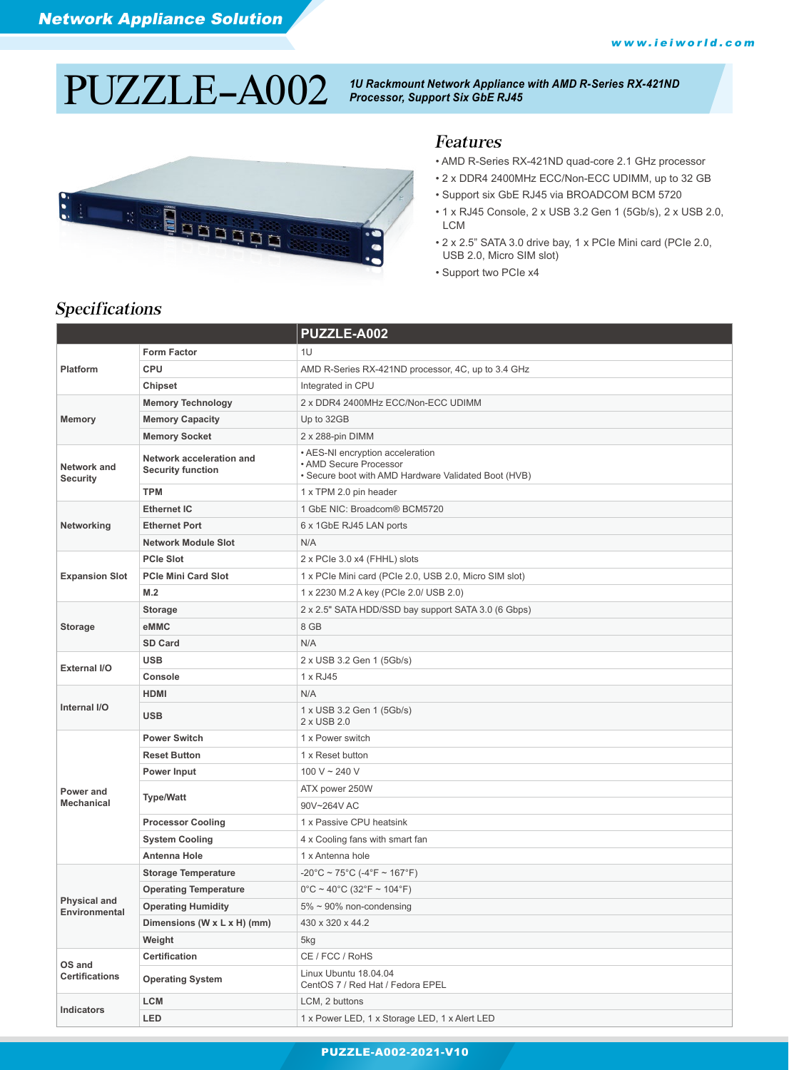# *1U Rackmount Network Appliance with AMD R-Series RX-421ND* PUZZLE-A002 *Processor, Support Six GbE RJ45*



#### Features

- AMD R-Series RX-421ND quad-core 2.1 GHz processor
- 2 x DDR4 2400MHz ECC/Non-ECC UDIMM, up to 32 GB
- Support six GbE RJ45 via BROADCOM BCM 5720
- 1 x RJ45 Console, 2 x USB 3.2 Gen 1 (5Gb/s), 2 x USB 2.0, **LCM**
- 2 x 2.5" SATA 3.0 drive bay, 1 x PCIe Mini card (PCIe 2.0, USB 2.0, Micro SIM slot)
- Support two PCIe x4

|                                      |                                                      | PUZZLE-A002                                                                                                        |  |
|--------------------------------------|------------------------------------------------------|--------------------------------------------------------------------------------------------------------------------|--|
| Platform                             | <b>Form Factor</b>                                   | 1U                                                                                                                 |  |
|                                      | <b>CPU</b>                                           | AMD R-Series RX-421ND processor, 4C, up to 3.4 GHz                                                                 |  |
|                                      | <b>Chipset</b>                                       | Integrated in CPU                                                                                                  |  |
|                                      | <b>Memory Technology</b>                             | 2 x DDR4 2400MHz ECC/Non-ECC UDIMM                                                                                 |  |
| <b>Memory</b>                        | <b>Memory Capacity</b>                               | Up to 32GB                                                                                                         |  |
|                                      | <b>Memory Socket</b>                                 | 2 x 288-pin DIMM                                                                                                   |  |
| Network and<br><b>Security</b>       | Network acceleration and<br><b>Security function</b> | • AES-NI encryption acceleration<br>• AMD Secure Processor<br>• Secure boot with AMD Hardware Validated Boot (HVB) |  |
|                                      | <b>TPM</b>                                           | 1 x TPM 2.0 pin header                                                                                             |  |
|                                      | <b>Ethernet IC</b>                                   | 1 GbE NIC: Broadcom® BCM5720                                                                                       |  |
| Networking                           | <b>Ethernet Port</b>                                 | 6 x 1GbE RJ45 LAN ports                                                                                            |  |
|                                      | <b>Network Module Slot</b>                           | N/A                                                                                                                |  |
|                                      | <b>PCIe Slot</b>                                     | 2 x PCIe 3.0 x4 (FHHL) slots                                                                                       |  |
| <b>Expansion Slot</b>                | <b>PCIe Mini Card Slot</b>                           | 1 x PCIe Mini card (PCIe 2.0, USB 2.0, Micro SIM slot)                                                             |  |
|                                      | M.2                                                  | 1 x 2230 M.2 A key (PCIe 2.0/ USB 2.0)                                                                             |  |
|                                      | <b>Storage</b>                                       | 2 x 2.5" SATA HDD/SSD bay support SATA 3.0 (6 Gbps)                                                                |  |
| <b>Storage</b>                       | eMMC                                                 | 8 GB                                                                                                               |  |
|                                      | SD Card                                              | N/A                                                                                                                |  |
| <b>External I/O</b>                  | <b>USB</b>                                           | 2 x USB 3.2 Gen 1 (5Gb/s)                                                                                          |  |
|                                      | Console                                              | 1 x RJ45                                                                                                           |  |
|                                      | <b>HDMI</b>                                          | N/A                                                                                                                |  |
| Internal I/O                         | <b>USB</b>                                           | 1 x USB 3.2 Gen 1 (5Gb/s)<br>2 x USB 2.0                                                                           |  |
|                                      | <b>Power Switch</b>                                  | 1 x Power switch                                                                                                   |  |
|                                      | <b>Reset Button</b>                                  | 1 x Reset button                                                                                                   |  |
|                                      | Power Input                                          | 100 V ~ 240 V                                                                                                      |  |
| Power and                            | <b>Type/Watt</b>                                     | ATX power 250W                                                                                                     |  |
| <b>Mechanical</b>                    |                                                      | 90V~264V AC                                                                                                        |  |
|                                      | <b>Processor Cooling</b>                             | 1 x Passive CPU heatsink                                                                                           |  |
|                                      | <b>System Cooling</b>                                | 4 x Cooling fans with smart fan                                                                                    |  |
|                                      | <b>Antenna Hole</b>                                  | 1 x Antenna hole                                                                                                   |  |
|                                      | <b>Storage Temperature</b>                           | $-20^{\circ}$ C ~ 75 $^{\circ}$ C (-4 $^{\circ}$ F ~ 167 $^{\circ}$ F)                                             |  |
|                                      | <b>Operating Temperature</b>                         | $0^{\circ}$ C ~ 40°C (32°F ~ 104°F)                                                                                |  |
| <b>Physical and</b><br>Environmental | <b>Operating Humidity</b>                            | $5\% \sim 90\%$ non-condensing                                                                                     |  |
|                                      | Dimensions (W x L x H) (mm)                          | 430 x 320 x 44.2                                                                                                   |  |
|                                      | Weight                                               | 5kg                                                                                                                |  |
| OS and<br><b>Certifications</b>      | <b>Certification</b>                                 | CE / FCC / RoHS                                                                                                    |  |
|                                      | <b>Operating System</b>                              | Linux Ubuntu 18.04.04<br>CentOS 7 / Red Hat / Fedora EPEL                                                          |  |
| Indicators                           | <b>LCM</b>                                           | LCM, 2 buttons                                                                                                     |  |
|                                      | <b>LED</b>                                           | 1 x Power LED, 1 x Storage LED, 1 x Alert LED                                                                      |  |

#### Specifications